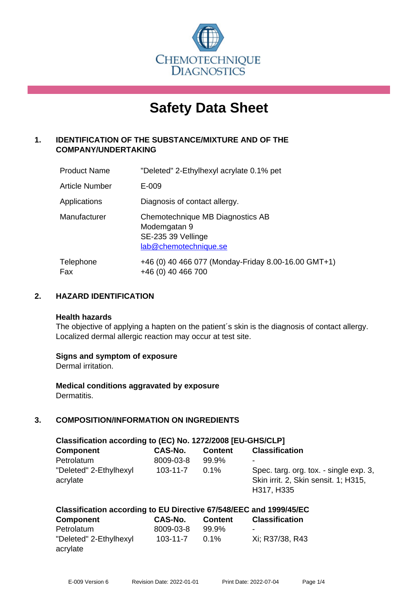

# **Safety Data Sheet**

# **1. IDENTIFICATION OF THE SUBSTANCE/MIXTURE AND OF THE COMPANY/UNDERTAKING**

| <b>Product Name</b>   | "Deleted" 2-Ethylhexyl acrylate 0.1% pet                                                        |
|-----------------------|-------------------------------------------------------------------------------------------------|
| <b>Article Number</b> | E-009                                                                                           |
| Applications          | Diagnosis of contact allergy.                                                                   |
| Manufacturer          | Chemotechnique MB Diagnostics AB<br>Modemgatan 9<br>SE-235 39 Vellinge<br>lab@chemotechnique.se |
| Telephone<br>Fax      | +46 (0) 40 466 077 (Monday-Friday 8.00-16.00 GMT+1)<br>+46 (0) 40 466 700                       |

# **2. HAZARD IDENTIFICATION**

#### **Health hazards**

The objective of applying a hapten on the patient's skin is the diagnosis of contact allergy. Localized dermal allergic reaction may occur at test site.

#### **Signs and symptom of exposure**

Dermal irritation.

**Medical conditions aggravated by exposure** Dermatitis.

# **3. COMPOSITION/INFORMATION ON INGREDIENTS**

| Classification according to (EC) No. 1272/2008 [EU-GHS/CLP] |                |                |                                                                                              |  |  |
|-------------------------------------------------------------|----------------|----------------|----------------------------------------------------------------------------------------------|--|--|
| <b>Component</b>                                            | CAS-No.        | <b>Content</b> | <b>Classification</b>                                                                        |  |  |
| Petrolatum                                                  | 8009-03-8      | 99.9%          | ۰                                                                                            |  |  |
| "Deleted" 2-Ethylhexyl<br>acrylate                          | $103 - 11 - 7$ | $0.1\%$        | Spec. targ. org. tox. - single exp. 3,<br>Skin irrit. 2, Skin sensit. 1; H315,<br>H317, H335 |  |  |

#### **Classification according to EU Directive 67/548/EEC and 1999/45/EC**

| <b>Component</b>       | CAS-No.   | <b>Content</b> | <b>Classification</b>    |
|------------------------|-----------|----------------|--------------------------|
| Petrolatum             | 8009-03-8 | 99.9%          | $\overline{\phantom{0}}$ |
| "Deleted" 2-Ethylhexyl | 103-11-7  | $0.1\%$        | Xi: R37/38, R43          |
| acrylate               |           |                |                          |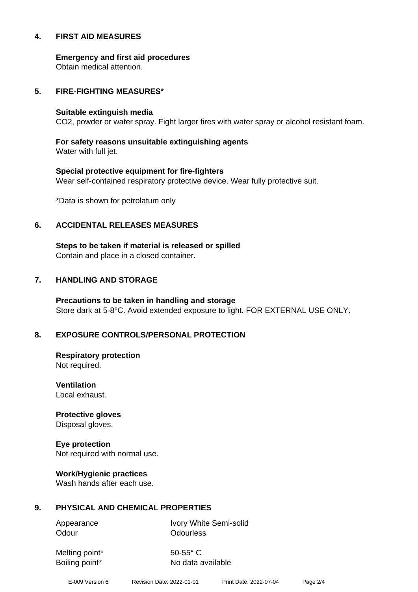#### **4. FIRST AID MEASURES**

**Emergency and first aid procedures**

Obtain medical attention.

#### **5. FIRE-FIGHTING MEASURES\***

#### **Suitable extinguish media**

CO2, powder or water spray. Fight larger fires with water spray or alcohol resistant foam.

# **For safety reasons unsuitable extinguishing agents**

Water with full jet.

# **Special protective equipment for fire-fighters** Wear self-contained respiratory protective device. Wear fully protective suit.

\*Data is shown for petrolatum only

# **6. ACCIDENTAL RELEASES MEASURES**

**Steps to be taken if material is released or spilled** Contain and place in a closed container.

# **7. HANDLING AND STORAGE**

**Precautions to be taken in handling and storage** Store dark at 5-8°C. Avoid extended exposure to light. FOR EXTERNAL USE ONLY.

# **8. EXPOSURE CONTROLS/PERSONAL PROTECTION**

**Respiratory protection** Not required.

**Ventilation** Local exhaust.

**Protective gloves** Disposal gloves.

# **Eye protection**

Not required with normal use.

#### **Work/Hygienic practices**

Wash hands after each use.

#### **9. PHYSICAL AND CHEMICAL PROPERTIES**

Odour **Odourless** 

Appearance Ivory White Semi-solid

Melting point\* 50-55° C

Boiling point\* No data available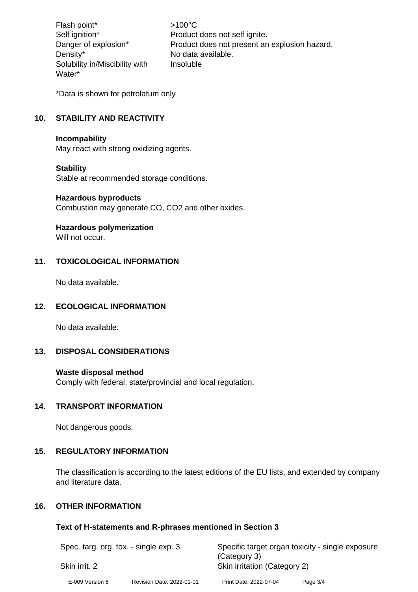Flash point\*  $>100^{\circ}$ C Density\* No data available. Solubility in/Miscibility with Water\*

Self ignition\* Product does not self ignite. Danger of explosion\* Product does not present an explosion hazard. Insoluble

\*Data is shown for petrolatum only

# **10. STABILITY AND REACTIVITY**

#### **Incompability**

May react with strong oxidizing agents.

#### **Stability**

Stable at recommended storage conditions.

#### **Hazardous byproducts**

Combustion may generate CO, CO2 and other oxides.

#### **Hazardous polymerization**

Will not occur

# **11. TOXICOLOGICAL INFORMATION**

No data available.

#### **12. ECOLOGICAL INFORMATION**

No data available.

#### **13. DISPOSAL CONSIDERATIONS**

#### **Waste disposal method**

Comply with federal, state/provincial and local regulation.

# **14. TRANSPORT INFORMATION**

Not dangerous goods.

# **15. REGULATORY INFORMATION**

The classification is according to the latest editions of the EU lists, and extended by company and literature data.

# **16. OTHER INFORMATION**

#### **Text of H-statements and R-phrases mentioned in Section 3**

| Spec. targ. org. tox. - single exp. 3 |                           | Specific target organ toxicity - single exposure<br>(Category 3) |          |  |
|---------------------------------------|---------------------------|------------------------------------------------------------------|----------|--|
| Skin irrit. 2                         |                           | Skin irritation (Category 2)                                     |          |  |
| E-009 Version 6                       | Revision Date: 2022-01-01 | Print Date: 2022-07-04                                           | Page 3/4 |  |